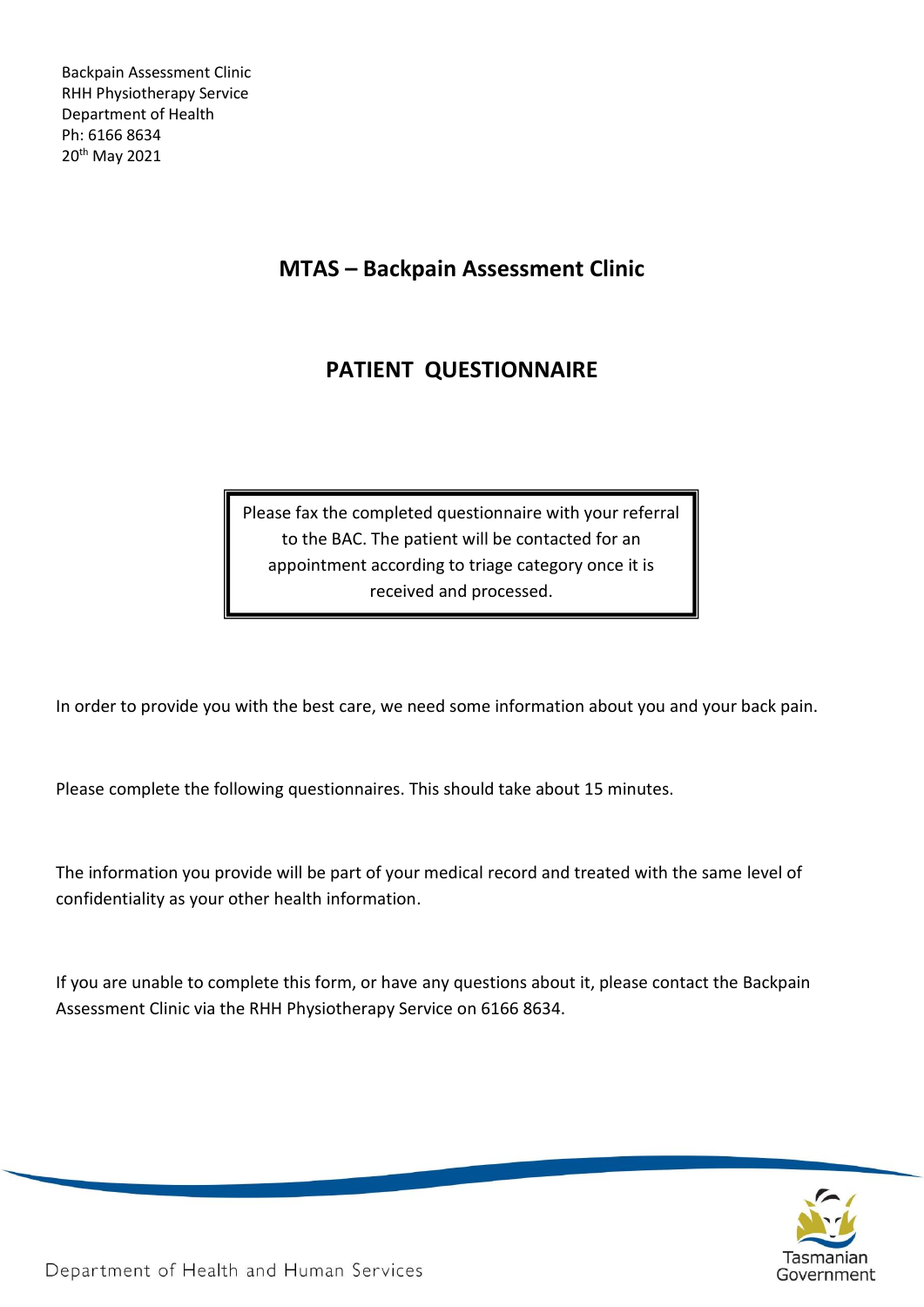# **MTAS – Backpain Assessment Clinic**

# **PATIENT QUESTIONNAIRE**

Please fax the completed questionnaire with your referral to the BAC. The patient will be contacted for an appointment according to triage category once it is received and processed.

In order to provide you with the best care, we need some information about you and your back pain.

Please complete the following questionnaires. This should take about 15 minutes.

The information you provide will be part of your medical record and treated with the same level of confidentiality as your other health information.

If you are unable to complete this form, or have any questions about it, please contact the Backpain Assessment Clinic via the RHH Physiotherapy Service on 6166 8634.



Department of Health and Human Services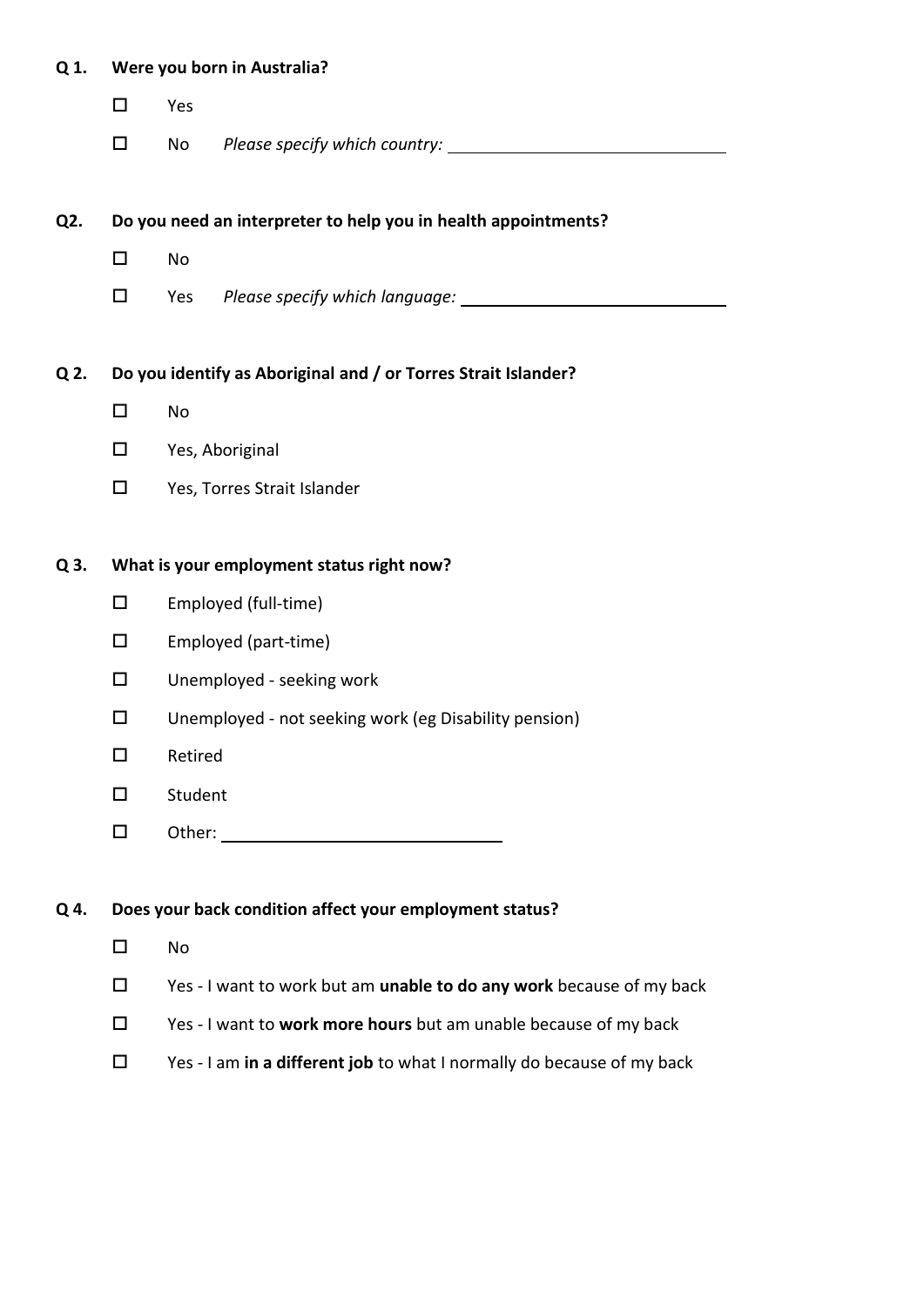| Q 1.             | Were you born in Australia?               |                                                                        |  |  |  |  |  |
|------------------|-------------------------------------------|------------------------------------------------------------------------|--|--|--|--|--|
|                  | $\Box$                                    | Yes                                                                    |  |  |  |  |  |
|                  | $\Box$                                    | No                                                                     |  |  |  |  |  |
|                  |                                           |                                                                        |  |  |  |  |  |
| Q <sub>2</sub> . |                                           | Do you need an interpreter to help you in health appointments?         |  |  |  |  |  |
|                  | $\Box$                                    | No                                                                     |  |  |  |  |  |
|                  | $\Box$                                    | Yes                                                                    |  |  |  |  |  |
| Q 2.             |                                           | Do you identify as Aboriginal and / or Torres Strait Islander?         |  |  |  |  |  |
|                  | $\Box$<br>No                              |                                                                        |  |  |  |  |  |
|                  | $\Box$                                    |                                                                        |  |  |  |  |  |
|                  |                                           | Yes, Aboriginal                                                        |  |  |  |  |  |
|                  | $\Box$                                    | Yes, Torres Strait Islander                                            |  |  |  |  |  |
| Q 3.             | What is your employment status right now? |                                                                        |  |  |  |  |  |
|                  | $\Box$                                    | Employed (full-time)                                                   |  |  |  |  |  |
|                  | $\Box$                                    | Employed (part-time)                                                   |  |  |  |  |  |
|                  | $\Box$                                    | Unemployed - seeking work                                              |  |  |  |  |  |
|                  | $\Box$                                    | Unemployed - not seeking work (eg Disability pension)                  |  |  |  |  |  |
|                  | □                                         | Retired                                                                |  |  |  |  |  |
|                  | $\Box$                                    | Student                                                                |  |  |  |  |  |
|                  | $\Box$                                    |                                                                        |  |  |  |  |  |
|                  |                                           |                                                                        |  |  |  |  |  |
| Q 4.             |                                           | Does your back condition affect your employment status?                |  |  |  |  |  |
|                  | $\Box$                                    | No                                                                     |  |  |  |  |  |
|                  | $\Box$                                    | Yes - I want to work but am unable to do any work because of my back   |  |  |  |  |  |
|                  | $\Box$                                    | Yes - I want to work more hours but am unable because of my back       |  |  |  |  |  |
|                  | $\Box$                                    | Yes - I am in a different job to what I normally do because of my back |  |  |  |  |  |